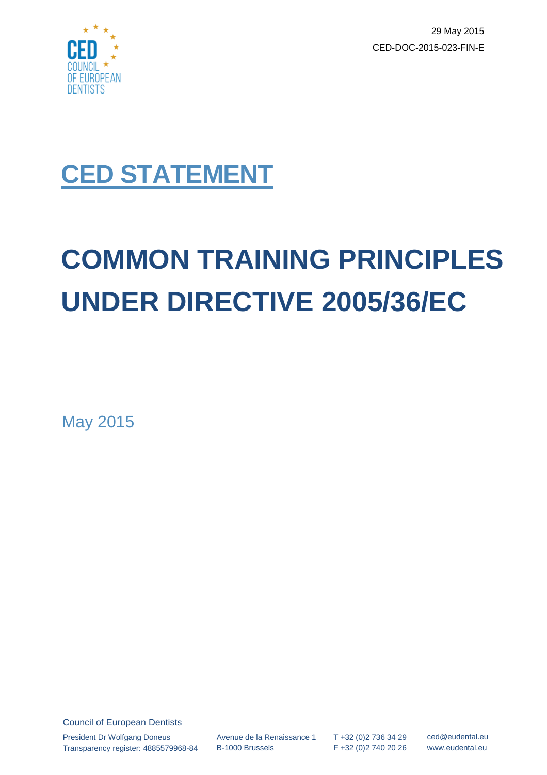

29 May 2015 CED-DOC-2015-023-FIN-E

## **CED STATEMENT**

# **COMMON TRAINING PRINCIPLES UNDER DIRECTIVE 2005/36/EC**

May 2015

Council of European Dentists President Dr Wolfgang Doneus Transparency register: 4885579968-84

Avenue de la Renaissance 1 B-1000 Brussels

T +32 (0)2 736 34 29 F +32 (0)2 740 20 26 ced@eudental.eu www.eudental.eu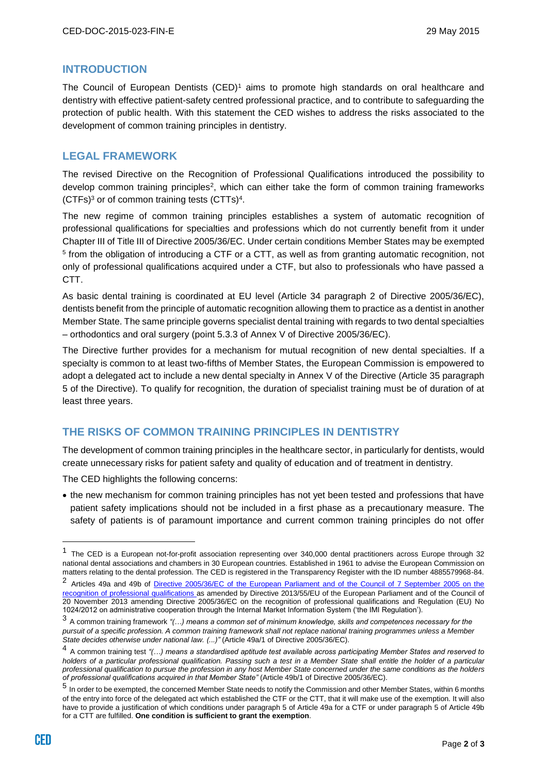#### **INTRODUCTION**

The Council of European Dentists  $(CED)^1$  aims to promote high standards on oral healthcare and dentistry with effective patient-safety centred professional practice, and to contribute to safeguarding the protection of public health. With this statement the CED wishes to address the risks associated to the development of common training principles in dentistry.

#### **LEGAL FRAMEWORK**

The revised Directive on the Recognition of Professional Qualifications introduced the possibility to develop common training principles<sup>2</sup>, which can either take the form of common training frameworks  $(CTFs)^3$  or of common training tests  $(CTTs)^4$ .

The new regime of common training principles establishes a system of automatic recognition of professional qualifications for specialties and professions which do not currently benefit from it under Chapter III of Title III of Directive 2005/36/EC. Under certain conditions Member States may be exempted 5 from the obligation of introducing a CTF or a CTT, as well as from granting automatic recognition, not only of professional qualifications acquired under a CTF, but also to professionals who have passed a CTT.

As basic dental training is coordinated at EU level (Article 34 paragraph 2 of Directive 2005/36/EC), dentists benefit from the principle of automatic recognition allowing them to practice as a dentist in another Member State. The same principle governs specialist dental training with regards to two dental specialties – orthodontics and oral surgery (point 5.3.3 of Annex V of Directive 2005/36/EC).

The Directive further provides for a mechanism for mutual recognition of new dental specialties. If a specialty is common to at least two-fifths of Member States, the European Commission is empowered to adopt a delegated act to include a new dental specialty in Annex V of the Directive (Article 35 paragraph 5 of the Directive). To qualify for recognition, the duration of specialist training must be of duration of at least three years.

#### **THE RISKS OF COMMON TRAINING PRINCIPLES IN DENTISTRY**

The development of common training principles in the healthcare sector, in particularly for dentists, would create unnecessary risks for patient safety and quality of education and of treatment in dentistry.

The CED highlights the following concerns:

• the new mechanism for common training principles has not yet been tested and professions that have patient safety implications should not be included in a first phase as a precautionary measure. The safety of patients is of paramount importance and current common training principles do not offer

 $\overline{a}$ 

<sup>&</sup>lt;sup>1</sup> The CED is a European not-for-profit association representing over 340,000 dental practitioners across Europe through 32 national dental associations and chambers in 30 European countries. Established in 1961 to advise the European Commission on matters relating to the dental profession. The CED is registered in the Transparency Register with the ID number 4885579968-84.

<sup>&</sup>lt;sup>2</sup> Articles 49a and 49b of <u>Directive 2005/36/EC of the European Parliament and of the Council of 7 September 2005 on the</u> [recognition of professional qualifications](http://eur-lex.europa.eu/legal-content/EN/TXT/?uri=CELEX:02005L0036-20140117) as amended by Directive 2013/55/EU of the European Parliament and of the Council of 20 November 2013 amending Directive 2005/36/EC on the recognition of professional qualifications and Regulation (EU) No 1024/2012 on administrative cooperation through the Internal Market Information System ('the IMI Regulation').

<sup>3</sup> A common training framework *"(…) means a common set of minimum knowledge, skills and competences necessary for the pursuit of a specific profession. A common training framework shall not replace national training programmes unless a Member State decides otherwise under national law. (...)"* (Article 49a/1 of Directive 2005/36/EC).

<sup>4</sup> A common training test *"(…) means a standardised aptitude test available across participating Member States and reserved to holders of a particular professional qualification. Passing such a test in a Member State shall entitle the holder of a particular professional qualification to pursue the profession in any host Member State concerned under the same conditions as the holders of professional qualifications acquired in that Member State"* (Article 49b/1 of Directive 2005/36/EC).

<sup>5</sup> In order to be exempted, the concerned Member State needs to notify the Commission and other Member States, within 6 months of the entry into force of the delegated act which established the CTF or the CTT, that it will make use of the exemption. It will also have to provide a justification of which conditions under paragraph 5 of Article 49a for a CTF or under paragraph 5 of Article 49b for a CTT are fulfilled. **One condition is sufficient to grant the exemption**.